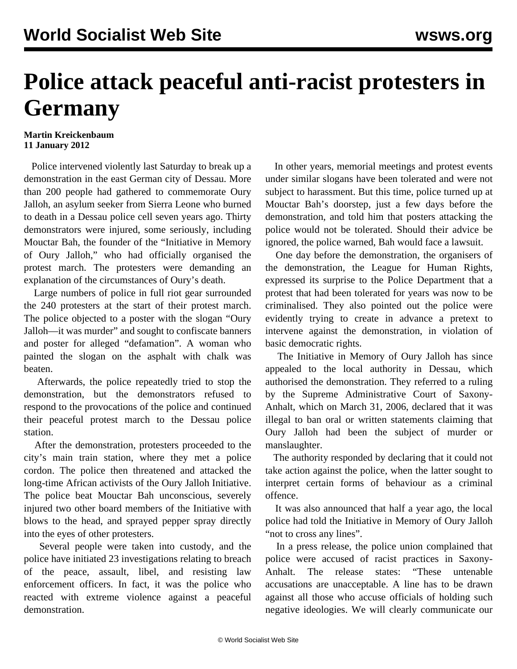## **Police attack peaceful anti-racist protesters in Germany**

## **Martin Kreickenbaum 11 January 2012**

 Police intervened violently last Saturday to break up a demonstration in the east German city of Dessau. More than 200 people had gathered to commemorate Oury Jalloh, an asylum seeker from Sierra Leone who burned to death in a Dessau police cell seven years ago. Thirty demonstrators were injured, some seriously, including Mouctar Bah, the founder of the "Initiative in Memory of Oury Jalloh," who had officially organised the protest march. The protesters were demanding an explanation of the circumstances of Oury's death.

 Large numbers of police in full riot gear surrounded the 240 protesters at the start of their protest march. The police objected to a poster with the slogan "Oury Jalloh—it was murder" and sought to confiscate banners and poster for alleged "defamation". A woman who painted the slogan on the asphalt with chalk was beaten.

 Afterwards, the police repeatedly tried to stop the demonstration, but the demonstrators refused to respond to the provocations of the police and continued their peaceful protest march to the Dessau police station.

 After the demonstration, protesters proceeded to the city's main train station, where they met a police cordon. The police then threatened and attacked the long-time African activists of the Oury Jalloh Initiative. The police beat Mouctar Bah unconscious, severely injured two other board members of the Initiative with blows to the head, and sprayed pepper spray directly into the eyes of other protesters.

 Several people were taken into custody, and the police have initiated 23 investigations relating to breach of the peace, assault, libel, and resisting law enforcement officers. In fact, it was the police who reacted with extreme violence against a peaceful demonstration.

 In other years, memorial meetings and protest events under similar slogans have been tolerated and were not subject to harassment. But this time, police turned up at Mouctar Bah's doorstep, just a few days before the demonstration, and told him that posters attacking the police would not be tolerated. Should their advice be ignored, the police warned, Bah would face a lawsuit.

 One day before the demonstration, the organisers of the demonstration, the League for Human Rights, expressed its surprise to the Police Department that a protest that had been tolerated for years was now to be criminalised. They also pointed out the police were evidently trying to create in advance a pretext to intervene against the demonstration, in violation of basic democratic rights.

 The Initiative in Memory of Oury Jalloh has since appealed to the local authority in Dessau, which authorised the demonstration. They referred to a ruling by the Supreme Administrative Court of Saxony-Anhalt, which on March 31, 2006, declared that it was illegal to ban oral or written statements claiming that Oury Jalloh had been the subject of murder or manslaughter.

 The authority responded by declaring that it could not take action against the police, when the latter sought to interpret certain forms of behaviour as a criminal offence.

 It was also announced that half a year ago, the local police had told the Initiative in Memory of Oury Jalloh "not to cross any lines".

 In a press release, the police union complained that police were accused of racist practices in Saxony-Anhalt. The release states: "These untenable accusations are unacceptable. A line has to be drawn against all those who accuse officials of holding such negative ideologies. We will clearly communicate our